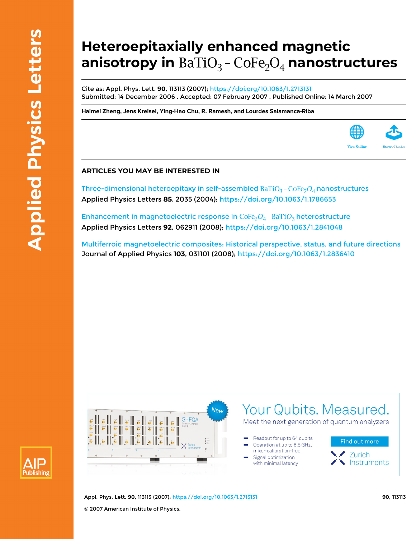# **Heteroepitaxially enhanced magnetic** anisotropy in BaTiO<sub>3</sub> - CoFe<sub>2</sub>O<sub>4</sub> nanostructures

Cite as: Appl. Phys. Lett. **90**, 113113 (2007);<https://doi.org/10.1063/1.2713131> Submitted: 14 December 2006 . Accepted: 07 February 2007 . Published Online: 14 March 2007

**[Haimei Zheng,](https://aip.scitation.org/author/Zheng%2C+Haimei) [Jens Kreisel,](https://aip.scitation.org/author/Kreisel%2C+Jens) [Ying-Hao Chu,](https://aip.scitation.org/author/Chu%2C+Ying-Hao) [R. Ramesh,](https://aip.scitation.org/author/Ramesh%2C+R) and [Lourdes Salamanca-Riba](https://aip.scitation.org/author/Salamanca-Riba%2C+Lourdes)**



Three-dimensional heteroepitaxy in self-assembled  $BaTiO<sub>3</sub> - CoFe<sub>2</sub>O<sub>4</sub>$  nanostructures Applied Physics Letters **85**, 2035 (2004);<https://doi.org/10.1063/1.1786653>

Enhancement in magnetoelectric response in  $\text{CoFe}_2O_4$  -  $\text{BaTiO}_3$  heterostructure Applied Physics Letters **92**, 062911 (2008);<https://doi.org/10.1063/1.2841048>

[Multiferroic magnetoelectric composites: Historical perspective, status, and future directions](https://aip.scitation.org/doi/10.1063/1.2836410) Journal of Applied Physics **103**, 031101 (2008);<https://doi.org/10.1063/1.2836410>





Appl. Phys. Lett. **90**, 113113 (2007); <https://doi.org/10.1063/1.2713131> **90**, 113113 © 2007 American Institute of Physics.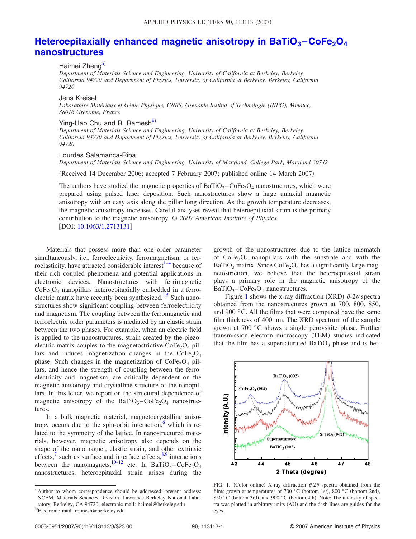# **Heteroepitaxially enhanced magnetic anisotropy in BaTiO<sub>3</sub> – CoFe<sub>2</sub>O<sub>4</sub> [nanostructures](http://dx.doi.org/10.1063/1.2713131)**

### Haimei Zheng<sup>a)</sup>

*Department of Materials Science and Engineering, University of California at Berkeley, Berkeley, California 94720 and Department of Physics, University of California at Berkeley, Berkeley, California 94720*

#### Jens Kreisel

*Laboratoire Matériaux et Génie Physique, CNRS, Grenoble Institut of Technologie (INPG), Minatec, 38016 Grenoble, France*

## Ying-Hao Chu and R. Ramesh<sup>b)</sup>

*Department of Materials Science and Engineering, University of California at Berkeley, Berkeley, California 94720 and Department of Physics, University of California at Berkeley, Berkeley, California 94720*

#### Lourdes Salamanca-Riba

*Department of Materials Science and Engineering, University of Maryland, College Park, Maryland 30742*

(Received 14 December 2006; accepted 7 February 2007; published online 14 March 2007)

The authors have studied the magnetic properties of  $BaTiO<sub>3</sub> - CoFe<sub>2</sub>O<sub>4</sub>$  nanostructures, which were prepared using pulsed laser deposition. Such nanostructures show a large uniaxial magnetic anisotropy with an easy axis along the pillar long direction. As the growth temperature decreases, the magnetic anisotropy increases. Careful analyses reveal that heteroepitaxial strain is the primary contribution to the magnetic anisotropy. © *2007 American Institute of Physics*. DOI: [10.1063/1.2713131](http://dx.doi.org/10.1063/1.2713131)

Materials that possess more than one order parameter simultaneously, i.e., ferroelectricity, ferromagnetism, or ferroelasticity, have attracted considerable interest $1-4$  $1-4$  because of their rich coupled phenomena and potential applications in electronic devices. Nanostructures with ferrimagnetic  $CoFe<sub>2</sub>O<sub>4</sub>$  nanopillars heteroepitaxially embedded in a ferro-electric matrix have recently been synthesized.<sup>1,[5](#page-3-2)</sup> Such nanostructures show significant coupling between ferroelectricity and magnetism. The coupling between the ferromagnetic and ferroelectric order parameters is mediated by an elastic strain between the two phases. For example, when an electric field is applied to the nanostructures, strain created by the piezoelectric matrix couples to the magnetostrictive  $\text{CoFe}_2\text{O}_4$  pillars and induces magnetization changes in the  $CoFe<sub>2</sub>O<sub>4</sub>$ phase. Such changes in the magnetization of  $\text{CoFe}_2\text{O}_4$  pillars, and hence the strength of coupling between the ferroelectricity and magnetism, are critically dependent on the magnetic anisotropy and crystalline structure of the nanopillars. In this letter, we report on the structural dependence of magnetic anisotropy of the  $BaTiO<sub>3</sub> - CoFe<sub>2</sub>O<sub>4</sub>$  nanostructures.

In a bulk magnetic material, magnetocrystalline anisotropy occurs due to the spin-orbit interaction, $\frac{6}{x}$  which is related to the symmetry of the lattice. In nanostructured materials, however, magnetic anisotropy also depends on the shape of the nanomagnet, elastic strain, and other extrinsic effects, $\frac{7}{1}$  such as surface and interface effects,  $\frac{8,9}{1}$  $\frac{8,9}{1}$  $\frac{8,9}{1}$  interactions between the nanomagnets,<sup>10[–12](#page-3-8)</sup> etc. In BaTiO<sub>3</sub>–CoFe<sub>2</sub>O<sub>4</sub> nanostructures, heteroepitaxial strain arises during the growth of the nanostructures due to the lattice mismatch of  $\text{CoFe}_2\text{O}_4$  nanopillars with the substrate and with the  $BaTiO<sub>3</sub>$  matrix. Since  $CoFe<sub>2</sub>O<sub>4</sub>$  has a significantly large magnetostriction, we believe that the heteroepitaxial strain plays a primary role in the magnetic anisotropy of the  $BaTiO<sub>3</sub> - CoFe<sub>2</sub>O<sub>4</sub>$  nanostructures.

Figure [1](#page-1-2) shows the x-ray diffraction (XRD)  $\theta$ -2 $\theta$  spectra obtained from the nanostructures grown at 700, 800, 850, and 900 °C. All the films that were compared have the same film thickness of 400 nm. The XRD spectrum of the sample grown at 700 °C shows a single perovskite phase. Further transmission electron microscopy (TEM) studies indicated that the film has a supersaturated  $BaTiO<sub>3</sub>$  phase and is het-

<span id="page-1-2"></span>

FIG. 1. (Color online) X-ray diffraction  $\theta$ -2 $\theta$  spectra obtained from the films grown at temperatures of 700  $^{\circ}$ C (bottom 1st), 800  $^{\circ}$ C (bottom 2nd), 850 °C (bottom 3rd), and 900 °C (bottom 4th). Note: The intensity of spectra was plotted in arbitrary units (AU) and the dash lines are guides for the eyes.

<span id="page-1-1"></span><span id="page-1-0"></span>a)Author to whom correspondence should be addressed; present address: NCEM, Materials Sciences Division, Lawrence Berkeley National Laboratory, Berkeley, CA 94720; electronic mail: haimei@berkeley.edu b)<br>Electronic mail: rramesh@berkeley.edu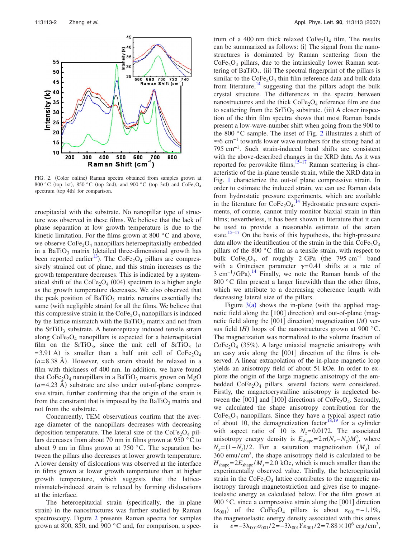<span id="page-2-0"></span>

FIG. 2. (Color online) Raman spectra obtained from samples grown at 800 °C (top 1st), 850 °C (top 2nd), and 900 °C (top 3rd) and  $\text{CoFe}_2\text{O}_4$ spectrum (top 4th) for comparison.

eroepitaxial with the substrate. No nanopillar type of structure was observed in these films. We believe that the lack of phase separation at low growth temperature is due to the kinetic limitation. For the films grown at 800 °C and above, we observe  $\text{CoFe}_2\text{O}_4$  nanopillars heteroepitaxially embedded in a BaTiO<sub>3</sub> matrix (detailed three-dimensional growth has been reported earlier<sup>13</sup>). The CoFe<sub>2</sub>O<sub>4</sub> pillars are compressively strained out of plane, and this strain increases as the growth temperature decreases. This is indicated by a systematical shift of the  $\text{CoFe}_2\text{O}_4$  (004) spectrum to a higher angle as the growth temperature decreases. We also observed that the peak position of  $BaTiO<sub>3</sub>$  matrix remains essentially the same (with negligible strain) for all the films. We believe that this compressive strain in the  $\text{CoFe}_2\text{O}_4$  nanopillars is induced by the lattice mismatch with the  $BaTiO<sub>3</sub>$  matrix and not from the  $SrTiO<sub>3</sub>$  substrate. A heteroepitaxy induced tensile strain along  $\text{CoFe}_2\text{O}_4$  nanopillars is expected for a heteroepitaxial film on the SrTiO<sub>3</sub>, since the unit cell of SrTiO<sub>3</sub>  $(a$  $=$  3.91 Å) is smaller than a half unit cell of CoFe<sub>2</sub>O<sub>4</sub>  $(a=8.38 \text{ Å})$ . However, such strain should be relaxed in a film with thickness of 400 nm. In addition, we have found that  $CoFe<sub>2</sub>O<sub>4</sub>$  nanopillars in a BaTiO<sub>3</sub> matrix grown on MgO  $(a=4.23 \text{ Å})$  substrate are also under out-of-plane compressive strain, further confirming that the origin of the strain is from the constraint that is imposed by the BaTiO<sub>3</sub> matrix and not from the substrate.

Concurrently, TEM observations confirm that the average diameter of the nanopillars decreases with decreasing deposition temperature. The lateral size of the  $CoFe<sub>2</sub>O<sub>4</sub>$  pillars decreases from about 70 nm in films grown at 950 °C to about 9 nm in films grown at 750  $\degree$ C. The separation between the pillars also decreases at lower growth temperature. A lower density of dislocations was observed at the interface in films grown at lower growth temperature than at higher growth temperature, which suggests that the latticemismatch-induced strain is relaxed by forming dislocations at the interface.

The heteroepitaxial strain (specifically, the in-plane strain) in the nanostructures was further studied by Raman spectroscopy. Figure [2](#page-2-0) presents Raman spectra for samples grown at 800, 850, and 900 °C and, for comparison, a spec-

trum of a 400 nm thick relaxed  $\text{CoFe}_2\text{O}_4$  film. The results can be summarized as follows: (i) The signal from the nanostructures is dominated by Raman scattering from the  $CoFe<sub>2</sub>O<sub>4</sub>$  pillars, due to the intrinsically lower Raman scattering of  $BaTiO<sub>3</sub>$ . (ii) The spectral fingerprint of the pillars is similar to the  $\text{CoFe}_2\text{O}_4$  thin film reference data and bulk data from literature, $14$  suggesting that the pillars adopt the bulk crystal structure. The differences in the spectra between nanostructures and the thick  $CoFe<sub>2</sub>O<sub>4</sub>$  reference film are due to scattering from the  $SrTiO<sub>3</sub>$  substrate. (iii) A closer inspection of the thin film spectra shows that most Raman bands present a low-wave-number shift when going from the 900 to the 800 °C sample. The inset of Fig. [2](#page-2-0) illustrates a shift of  $\approx 6$  cm<sup>-1</sup> towards lower wave numbers for the strong band at 795 cm−1. Such strain-induced band shifts are consistent with the above-described changes in the XRD data. As it was reported for perovskite films,  $15-17$  $15-17$  Raman scattering is characteristic of the in-plane tensile strain, while the XRD data in Fig. [1](#page-1-2) characterize the out-of plane compressive strain. In order to estimate the induced strain, we can use Raman data from hydrostatic pressure experiments, which are available in the literature for  $\text{CoFe}_2\text{O}_4$ .<sup>[14](#page-3-10)</sup> Hydrostatic pressure experiments, of course, cannot truly monitor biaxial strain in thin films; nevertheless, it has been shown in literature that it can be used to provide a reasonable estimate of the strain state.<sup>15–[17](#page-3-12)</sup> On the basis of this hypothesis, the high-pressure data allow the identification of the strain in the thin  $\text{CoFe}_2\text{O}_4$ pillars of the 800 °C film as a tensile strain, with respect to bulk  $\text{CoFe}_2\text{O}_4$ , of roughly 2 GPa (the 795 cm<sup>-1</sup> band with a Grüneisen parameter  $\gamma = 0.41$  shifts at a rate of 3 cm<sup>-1</sup>/GPa).<sup>[14](#page-3-10)</sup> Finally, we note the Raman bands of the 800 °C film present a larger linewidth than the other films, which we attribute to a decreasing coherence length with decreasing lateral size of the pillars.

Figure  $3(a)$  $3(a)$  shows the in-plane (with the applied magnetic field along the [100] direction) and out-of-plane (magnetic field along the [001] direction) magnetization (M) versus field  $(H)$  loops of the nanostructures grown at 900 °C. The magnetization was normalized to the volume fraction of  $CoFe<sub>2</sub>O<sub>4</sub>$  (35%). A large uniaxial magnetic anisotropy with an easy axis along the  $[001]$  direction of the films is observed. A linear extrapolation of the in-plane magnetic loop yields an anisotropy field of about 51 kOe. In order to explore the origin of the large magnetic anisotropy of the embedded  $CoFe<sub>2</sub>O<sub>4</sub>$  pillars, several factors were considered. Firstly, the magnetocrystalline anisotropy is neglected between the  $[001]$  and  $[100]$  directions of CoFe<sub>2</sub>O<sub>4</sub>. Secondly, we calculated the shape anisotropy contribution for the  $CoFe<sub>2</sub>O<sub>4</sub>$  nanopillars. Since they have a typical aspect ratio of about 10, the demagnetization factor<sup>18[,19](#page-3-15)</sup> for a cylinder with aspect ratio of 10 is  $N_z = 0.0172$ . The associated anisotropy energy density is  $E_{\text{shape}} = 2\pi (N_x - N_z) M_s^2$ , where  $N_x = (1 - N_z)/2$ . For a saturation magnetization *(M<sub>s</sub>)* of  $360$  emu/cm<sup>3</sup>, the shape anisotropy field is calculated to be  $H_{\text{shape}} = 2E_{\text{shape}} / M_s = 2.0$  kOe, which is much smaller than the experimentally observed value. Thirdly, the heteroepitaxial strain in the  $\text{CoFe}_2\text{O}_4$  lattice contributes to the magnetic anisotropy through magnetostriction and gives rise to magnetoelastic energy as calculated below. For the film grown at 900  $\degree$ C, since a compressive strain along the [001] direction  $(\epsilon_{001})$  of the CoFe<sub>2</sub>O<sub>4</sub> pillars is about  $\epsilon_{001} = -1.1\%$ , the magnetoelastic energy density associated with this stress is  $e=-3\lambda_{001}\sigma_{001}/2=-3\lambda_{001}Y\varepsilon_{001}/2=7.88\times10^6 \text{ erg/cm}^3$ ,